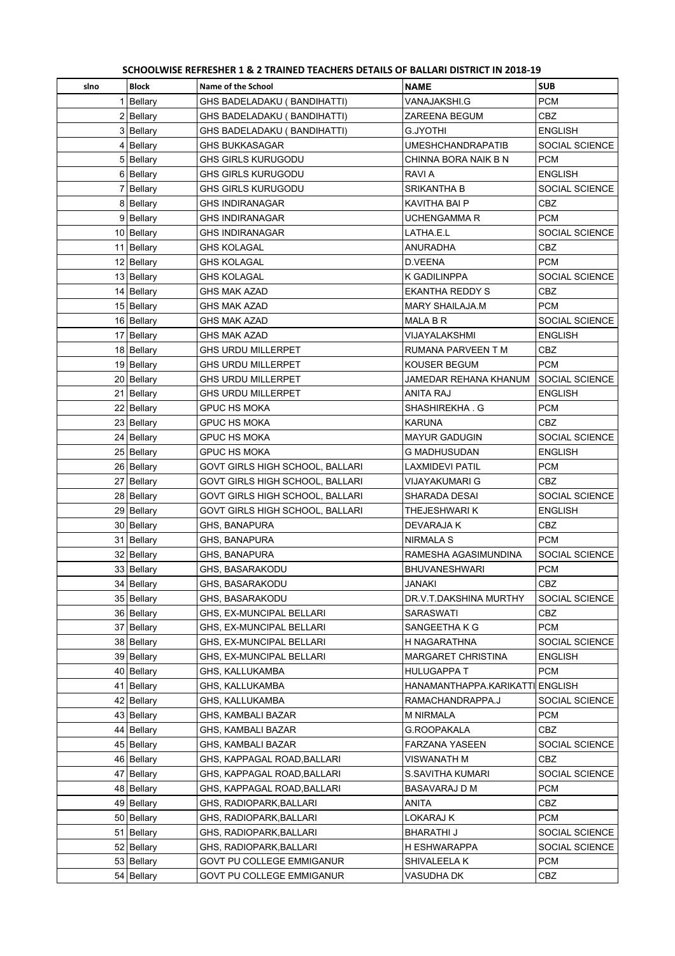| SCHOOLWISE REFRESHER 1 & 2 TRAINED TEACHERS DETAILS OF BALLARI DISTRICT IN 2018-19 |  |
|------------------------------------------------------------------------------------|--|
|                                                                                    |  |

| sino | <b>Block</b>               | Name of the School                                   | <b>NAME</b>                     | <b>SUB</b>            |
|------|----------------------------|------------------------------------------------------|---------------------------------|-----------------------|
|      | 1 Bellary                  | GHS BADELADAKU (BANDIHATTI)                          | VANAJAKSHI.G                    | <b>PCM</b>            |
|      | $2$ Bellary                | GHS BADELADAKU ( BANDIHATTI)                         | ZAREENA BEGUM                   | <b>CBZ</b>            |
|      | 3 Bellary                  | GHS BADELADAKU ( BANDIHATTI)                         | G.JYOTHI                        | <b>ENGLISH</b>        |
|      | 4 Bellary                  | <b>GHS BUKKASAGAR</b>                                | <b>UMESHCHANDRAPATIB</b>        | SOCIAL SCIENCE        |
|      | 5 Bellary                  | GHS GIRLS KURUGODU                                   | CHINNA BORA NAIK B N            | <b>PCM</b>            |
|      | 6 Bellary                  | GHS GIRLS KURUGODU                                   | RAVI A                          | <b>ENGLISH</b>        |
|      | 7 Bellary                  | <b>GHS GIRLS KURUGODU</b>                            | <b>SRIKANTHA B</b>              | SOCIAL SCIENCE        |
|      | 8 Bellary                  | GHS INDIRANAGAR                                      | KAVITHA BAI P                   | CBZ                   |
|      | 9 Bellary                  | GHS INDIRANAGAR                                      | UCHENGAMMA R                    | <b>PCM</b>            |
|      | 10 Bellary                 | <b>GHS INDIRANAGAR</b>                               | LATHA.E.L                       | SOCIAL SCIENCE        |
|      | 11 Bellary                 | GHS KOLAGAL                                          | ANURADHA                        | CBZ                   |
|      | 12 Bellary                 | GHS KOLAGAL                                          | D.VEENA                         | <b>PCM</b>            |
|      | 13 Bellary                 | GHS KOLAGAL                                          | K GADILINPPA                    | SOCIAL SCIENCE        |
|      | 14 Bellary                 | <b>GHS MAK AZAD</b>                                  | <b>EKANTHA REDDY S</b>          | <b>CBZ</b>            |
|      | 15 Bellary                 | GHS MAK AZAD                                         | MARY SHAILAJA.M                 | <b>PCM</b>            |
|      | 16 Bellary                 | GHS MAK AZAD                                         | MALA B R                        | SOCIAL SCIENCE        |
|      | 17 Bellary                 | GHS MAK AZAD                                         | <b>VIJAYALAKSHMI</b>            | <b>ENGLISH</b>        |
|      | 18 Bellary                 | GHS URDU MILLERPET                                   | RUMANA PARVEEN T M              | CBZ                   |
|      | 19 Bellary                 | GHS URDU MILLERPET                                   | KOUSER BEGUM                    | <b>PCM</b>            |
|      | 20 Bellary                 | GHS URDU MILLERPET                                   | JAMEDAR REHANA KHANUM           | SOCIAL SCIENCE        |
|      | 21 Bellary                 | <b>GHS URDU MILLERPET</b>                            | ANITA RAJ                       | <b>ENGLISH</b>        |
|      | 22 Bellary                 | <b>GPUC HS MOKA</b>                                  | SHASHIREKHA G                   | <b>PCM</b>            |
|      | 23 Bellary                 | <b>GPUC HS MOKA</b>                                  | <b>KARUNA</b>                   | <b>CBZ</b>            |
|      | 24 Bellary                 | GPUC HS MOKA                                         | <b>MAYUR GADUGIN</b>            | SOCIAL SCIENCE        |
|      | 25 Bellary                 | GPUC HS MOKA                                         | G MADHUSUDAN                    | ENGLISH               |
|      | 26 Bellary                 | GOVT GIRLS HIGH SCHOOL, BALLARI                      | LAXMIDEVI PATIL                 | <b>PCM</b>            |
|      | 27 Bellary                 | GOVT GIRLS HIGH SCHOOL, BALLARI                      | VIJAYAKUMARI G                  | CBZ.                  |
|      | 28 Bellary                 | GOVT GIRLS HIGH SCHOOL, BALLARI                      | SHARADA DESAI                   | SOCIAL SCIENCE        |
|      | 29 Bellary                 | GOVT GIRLS HIGH SCHOOL, BALLARI                      | THEJESHWARI K                   | ENGLISH               |
|      | 30 Bellary                 | GHS, BANAPURA                                        | DEVARAJA K                      | CBZ                   |
|      | 31 Bellary                 | GHS, BANAPURA                                        | NIRMALA S                       | <b>PCM</b>            |
|      | 32 Bellary                 | GHS, BANAPURA                                        | RAMESHA AGASIMUNDINA            | SOCIAL SCIENCE        |
|      | 33 Bellary                 | GHS, BASARAKODU                                      | <b>BHUVANESHWARI</b>            | <b>PCM</b>            |
|      | 34 Bellary                 | GHS, BASARAKODU                                      | JANAKI                          | CBZ                   |
|      | 35   Bellary<br>36 Bellary | GHS, BASARAKODU                                      | DR.V.T.DAKSHINA MURTHY          | SOCIAL SCIENCE<br>CBZ |
|      | 37 Bellary                 | GHS, EX-MUNCIPAL BELLARI<br>GHS, EX-MUNCIPAL BELLARI | SARASWATI<br>SANGEETHA K G      | <b>PCM</b>            |
|      | 38 Bellary                 | GHS, EX-MUNCIPAL BELLARI                             | H NAGARATHNA                    | SOCIAL SCIENCE        |
|      | 39 Bellary                 | GHS, EX-MUNCIPAL BELLARI                             | MARGARET CHRISTINA              | ENGLISH               |
|      | 40 Bellary                 | GHS, KALLUKAMBA                                      | HULUGAPPA T                     | <b>PCM</b>            |
|      | 41 Bellary                 | GHS, KALLUKAMBA                                      | HANAMANTHAPPA.KARIKATTI ENGLISH |                       |
|      | 42 Bellary                 | GHS, KALLUKAMBA                                      | RAMACHANDRAPPA.J                | SOCIAL SCIENCE        |
|      | 43 Bellary                 | GHS, KAMBALI BAZAR                                   | M NIRMALA                       | <b>PCM</b>            |
|      | 44 Bellary                 | GHS, KAMBALI BAZAR                                   | G.ROOPAKALA                     | CBZ                   |
|      | 45 Bellary                 | GHS, KAMBALI BAZAR                                   | FARZANA YASEEN                  | SOCIAL SCIENCE        |
|      | 46 Bellary                 | GHS, KAPPAGAL ROAD, BALLARI                          | VISWANATH M                     | CBZ                   |
|      | 47 Bellary                 | GHS, KAPPAGAL ROAD, BALLARI                          | S.SAVITHA KUMARI                | SOCIAL SCIENCE        |
|      | 48 Bellary                 | GHS, KAPPAGAL ROAD, BALLARI                          | <b>BASAVARAJ D M</b>            | <b>PCM</b>            |
|      | 49 Bellary                 | GHS, RADIOPARK, BALLARI                              | ANITA                           | CBZ                   |
|      | 50 Bellary                 | GHS, RADIOPARK, BALLARI                              | LOKARAJ K                       | <b>PCM</b>            |
|      | 51 Bellary                 | GHS, RADIOPARK, BALLARI                              | <b>BHARATHI J</b>               | SOCIAL SCIENCE        |
|      | 52 Bellary                 | GHS, RADIOPARK,BALLARI                               | H ESHWARAPPA                    | SOCIAL SCIENCE        |
|      | 53 Bellary                 | GOVT PU COLLEGE EMMIGANUR                            | SHIVALEELA K                    | PCM                   |
|      | 54 Bellary                 | GOVT PU COLLEGE EMMIGANUR                            | VASUDHA DK                      | CBZ                   |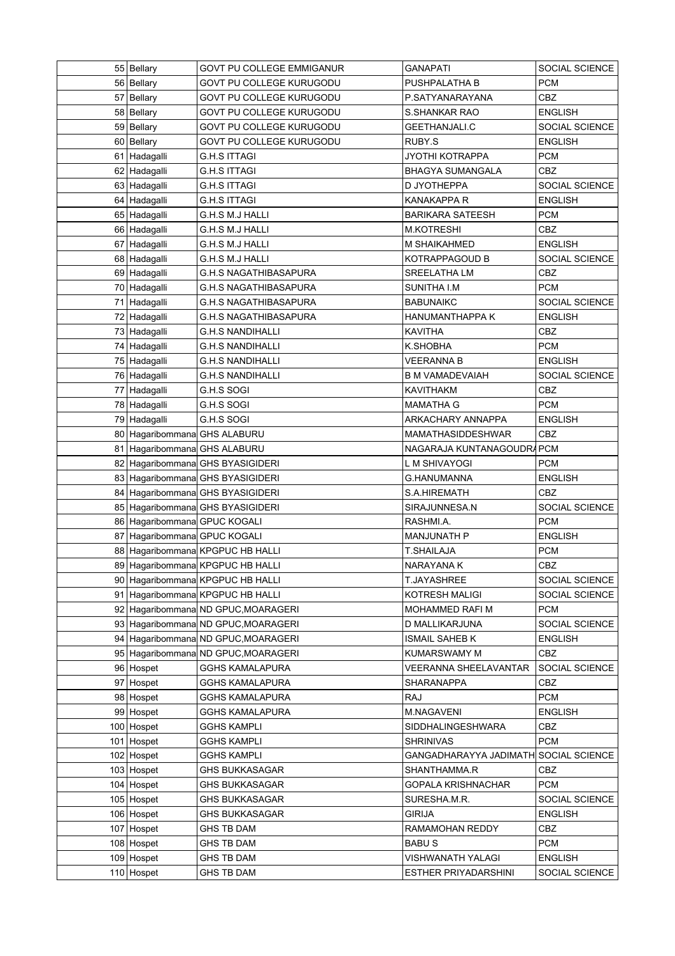| 55 Bellary                     | GOVT PU COLLEGE EMMIGANUR             | <b>GANAPATI</b>                       | SOCIAL SCIENCE        |
|--------------------------------|---------------------------------------|---------------------------------------|-----------------------|
| 56 Bellary                     | GOVT PU COLLEGE KURUGODU              | PUSHPALATHA B                         | <b>PCM</b>            |
| 57 Bellary                     | GOVT PU COLLEGE KURUGODU              | P.SATYANARAYANA                       | <b>CBZ</b>            |
| 58 Bellary                     | GOVT PU COLLEGE KURUGODU              | S.SHANKAR RAO                         | <b>ENGLISH</b>        |
| 59 Bellary                     | GOVT PU COLLEGE KURUGODU              | <b>GEETHANJALI.C</b>                  | SOCIAL SCIENCE        |
| 60 Bellary                     | GOVT PU COLLEGE KURUGODU              | RUBY S                                | <b>ENGLISH</b>        |
| 61 Hadagalli                   | G.H.S ITTAGI                          | <b>JYOTHI KOTRAPPA</b>                | <b>PCM</b>            |
| 62 Hadagalli                   | G.H.S ITTAGI                          | <b>BHAGYA SUMANGALA</b>               | <b>CBZ</b>            |
| 63 Hadagalli                   | G.H.S ITTAGI                          | D JYOTHEPPA                           | <b>SOCIAL SCIENCE</b> |
| 64 Hadagalli                   | <b>G.H.S ITTAGI</b>                   | KANAKAPPA R                           | <b>ENGLISH</b>        |
| 65 Hadagalli                   | G.H.S M.J HALLI                       | <b>BARIKARA SATEESH</b>               | <b>PCM</b>            |
| 66 Hadagalli                   | G.H.S M.J HALLI                       | <b>M.KOTRESHI</b>                     | <b>CBZ</b>            |
| 67 Hadagalli                   | G.H.S M.J HALLI                       | M SHAIKAHMED                          | <b>ENGLISH</b>        |
| 68 Hadagalli                   | G.H.S M.J HALLI                       | KOTRAPPAGOUD B                        | SOCIAL SCIENCE        |
| 69 Hadagalli                   | G.H.S NAGATHIBASAPURA                 | SREELATHA LM                          | <b>CBZ</b>            |
| 70 Hadagalli                   | G.H.S NAGATHIBASAPURA                 | SUNITHA I.M                           | <b>PCM</b>            |
| 71 Hadagalli                   | G.H.S NAGATHIBASAPURA                 | <b>BABUNAIKC</b>                      | SOCIAL SCIENCE        |
| 72 Hadagalli                   | <b>G.H.S NAGATHIBASAPURA</b>          | HANUMANTHAPPA K                       | <b>ENGLISH</b>        |
| 73 Hadagalli                   | <b>G.H.S NANDIHALLI</b>               | <b>KAVITHA</b>                        | CBZ                   |
| 74 Hadagalli                   | G.H.S NANDIHALLI                      | K.SHOBHA                              | <b>PCM</b>            |
| 75 Hadagalli                   | G.H.S NANDIHALLI                      | VEERANNA B                            | <b>ENGLISH</b>        |
| 76 Hadagalli                   | G.H.S NANDIHALLI                      | B M VAMADEVAIAH                       | SOCIAL SCIENCE        |
| 77 Hadagalli                   | G.H.S SOGI                            | <b>KAVITHAKM</b>                      | <b>CBZ</b>            |
| 78 Hadagalli                   | G.H.S SOGI                            | <b>MAMATHA G</b>                      | <b>PCM</b>            |
| 79 Hadagalli                   | G.H.S SOGI                            | ARKACHARY ANNAPPA                     | <b>ENGLISH</b>        |
| 80 Hagaribommanal GHS ALABURU  |                                       | <b>MAMATHASIDDESHWAR</b>              | <b>CBZ</b>            |
| 81 Hagaribommanal GHS ALABURU  |                                       | NAGARAJA KUNTANAGOUDRA PCM            |                       |
|                                | 82   Hagaribommana GHS BYASIGIDERI    | L M SHIVAYOGI                         | <b>PCM</b>            |
|                                | 83   Hagaribommana GHS BYASIGIDERI    | G.HANUMANNA                           | <b>ENGLISH</b>        |
|                                | 84   Hagaribommana GHS BYASIGIDERI    | S.A.HIREMATH                          | <b>CBZ</b>            |
|                                | 85   Hagaribommana GHS BYASIGIDERI    | SIRAJUNNESA.N                         | <b>SOCIAL SCIENCE</b> |
| 86   Hagaribommana GPUC KOGALI |                                       | RASHMI.A.                             | <b>PCM</b>            |
| 87 Hagaribommana GPUC KOGALI   |                                       | <b>MANJUNATH P</b>                    | <b>ENGLISH</b>        |
|                                | 88   Hagaribommana KPGPUC HB HALLI    | <b>T.SHAILAJA</b>                     | <b>PCM</b>            |
|                                | 89 Hagaribommana KPGPUC HB HALLI      | NARAYANA K                            | <b>CBZ</b>            |
|                                | 90 Hagaribommana KPGPUC HB HALLI      | <b>T.JAYASHREE</b>                    | SOCIAL SCIENCE        |
|                                | 91   Hagaribommana KPGPUC HB HALLI    | KOTRESH MALIGI                        | SOCIAL SCIENCE        |
|                                | 92 Hagaribommana ND GPUC, MOARAGERI   | MOHAMMED RAFI M                       | <b>PCM</b>            |
|                                | 93 Hagaribommana ND GPUC, MOARAGERI   | D MALLIKARJUNA                        | SOCIAL SCIENCE        |
|                                | 94   Hagaribommana ND GPUC, MOARAGERI | <b>ISMAIL SAHEB K</b>                 | <b>ENGLISH</b>        |
|                                | 95 Hagaribommana ND GPUC, MOARAGERI   | KUMARSWAMY M                          | <b>CBZ</b>            |
| 96 Hospet                      | <b>GGHS KAMALAPURA</b>                | VEERANNA SHEELAVANTAR                 | SOCIAL SCIENCE        |
| 97 Hospet                      | GGHS KAMALAPURA                       | SHARANAPPA                            | CBZ                   |
| 98 Hospet                      | <b>GGHS KAMALAPURA</b>                | RAJ                                   | <b>PCM</b>            |
| 99 Hospet                      | <b>GGHS KAMALAPURA</b>                | M.NAGAVENI                            | <b>ENGLISH</b>        |
| 100 Hospet                     | GGHS KAMPLI                           | SIDDHALINGESHWARA                     | CBZ                   |
| 101 Hospet                     | <b>GGHS KAMPLI</b>                    | <b>SHRINIVAS</b>                      | <b>PCM</b>            |
| 102 Hospet                     | GGHS KAMPLI                           | GANGADHARAYYA JADIMATH SOCIAL SCIENCE |                       |
| 103 Hospet                     | <b>GHS BUKKASAGAR</b>                 | SHANTHAMMA.R                          | <b>CBZ</b>            |
| 104 Hospet                     | GHS BUKKASAGAR                        | <b>GOPALA KRISHNACHAR</b>             | <b>PCM</b>            |
| 105 Hospet                     | <b>GHS BUKKASAGAR</b>                 | SURESHA.M.R.                          | SOCIAL SCIENCE        |
| 106 Hospet                     | <b>GHS BUKKASAGAR</b>                 | <b>GIRIJA</b>                         | <b>ENGLISH</b>        |
| 107 Hospet                     | <b>GHS TB DAM</b>                     | RAMAMOHAN REDDY                       | CBZ                   |
| 108 Hospet                     | <b>GHS TB DAM</b>                     | <b>BABUS</b>                          | <b>PCM</b>            |
| 109 Hospet                     | <b>GHS TB DAM</b>                     | VISHWANATH YALAGI                     | <b>ENGLISH</b>        |
| 110 Hospet                     | GHS TB DAM                            | <b>ESTHER PRIYADARSHINI</b>           | SOCIAL SCIENCE        |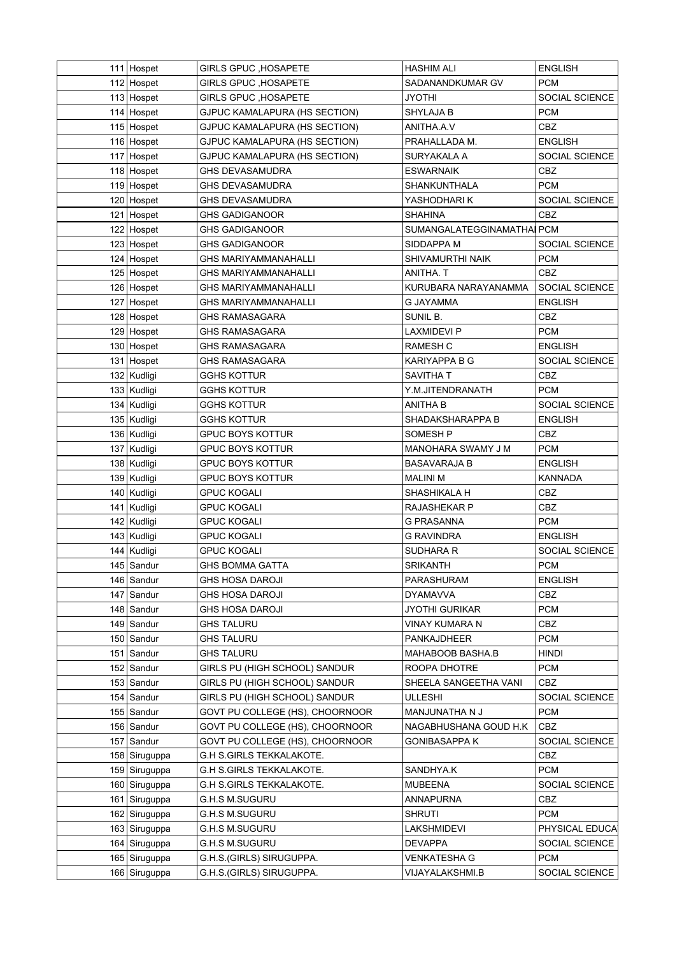| 111 Hospet                     | <b>GIRLS GPUC, HOSAPETE</b>                            | <b>HASHIM ALI</b>          | <b>ENGLISH</b>               |
|--------------------------------|--------------------------------------------------------|----------------------------|------------------------------|
| 112 Hospet                     | <b>GIRLS GPUC , HOSAPETE</b>                           | SADANANDKUMAR GV           | <b>PCM</b>                   |
| 113 Hospet                     | <b>GIRLS GPUC, HOSAPETE</b>                            | JYOTHI                     | SOCIAL SCIENCE               |
| 114 Hospet                     | GJPUC KAMALAPURA (HS SECTION)                          | SHYLAJA B                  | <b>PCM</b>                   |
| 115 Hospet                     | GJPUC KAMALAPURA (HS SECTION)                          | ANITHA A V                 | CBZ                          |
| 116 Hospet                     | GJPUC KAMALAPURA (HS SECTION)                          | PRAHALLADA M.              | <b>ENGLISH</b>               |
| 117 Hospet                     | GJPUC KAMALAPURA (HS SECTION)                          | SURYAKALA A                | <b>SOCIAL SCIENCE</b>        |
| 118 Hospet                     | <b>GHS DEVASAMUDRA</b>                                 | ESWARNAIK                  | CBZ                          |
| 119 Hospet                     | <b>GHS DEVASAMUDRA</b>                                 | <b>SHANKUNTHALA</b>        | <b>PCM</b>                   |
| 120 Hospet                     | <b>GHS DEVASAMUDRA</b>                                 | YASHODHARI K               | <b>SOCIAL SCIENCE</b>        |
| 121 Hospet                     | <b>GHS GADIGANOOR</b>                                  | <b>SHAHINA</b>             | CBZ                          |
| 122 Hospet                     | <b>GHS GADIGANOOR</b>                                  | SUMANGALATEGGINAMATHAI PCM |                              |
| 123 Hospet                     | <b>GHS GADIGANOOR</b>                                  | SIDDAPPA M                 | SOCIAL SCIENCE               |
| 124 Hospet                     | <b>GHS MARIYAMMANAHALLI</b>                            | SHIVAMURTHI NAIK           | <b>PCM</b>                   |
|                                |                                                        |                            | <b>CBZ</b>                   |
| 125 Hospet                     | <b>GHS MARIYAMMANAHALLI</b>                            | ANITHA. T                  |                              |
| 126 Hospet                     | <b>GHS MARIYAMMANAHALLI</b>                            | KURUBARA NARAYANAMMA       | SOCIAL SCIENCE               |
| 127 Hospet                     | <b>GHS MARIYAMMANAHALLI</b>                            | G JAYAMMA                  | <b>ENGLISH</b>               |
| 128 Hospet                     | <b>GHS RAMASAGARA</b>                                  | SUNIL B.                   | CBZ                          |
| 129 Hospet                     | <b>GHS RAMASAGARA</b>                                  | LAXMIDEVI P                | <b>PCM</b>                   |
| 130 Hospet                     | <b>GHS RAMASAGARA</b>                                  | <b>RAMESH C</b>            | <b>ENGLISH</b>               |
| 131 Hospet                     | <b>GHS RAMASAGARA</b>                                  | <b>KARIYAPPA B G</b>       | SOCIAL SCIENCE               |
| 132 Kudligi                    | <b>GGHS KOTTUR</b>                                     | SAVITHA T                  | CBZ                          |
| 133 Kudligi                    | <b>GGHS KOTTUR</b>                                     | Y.M.JITENDRANATH           | <b>PCM</b>                   |
| 134   Kudligi                  | <b>GGHS KOTTUR</b>                                     | ANITHA B                   | SOCIAL SCIENCE               |
| 135   Kudligi                  | <b>GGHS KOTTUR</b>                                     | SHADAKSHARAPPA B           | <b>ENGLISH</b>               |
| 136 Kudligi                    | <b>GPUC BOYS KOTTUR</b>                                | SOMESH P                   | <b>CBZ</b>                   |
| 137 Kudligi                    | <b>GPUC BOYS KOTTUR</b>                                | MANOHARA SWAMY J M         | <b>PCM</b>                   |
| 138 Kudligi                    | <b>GPUC BOYS KOTTUR</b>                                | <b>BASAVARAJA B</b>        | <b>ENGLISH</b>               |
|                                |                                                        |                            |                              |
| 139 Kudligi                    | <b>GPUC BOYS KOTTUR</b>                                | MALINI M                   | KANNADA                      |
| 140   Kudligi                  | <b>GPUC KOGALI</b>                                     | SHASHIKALA H               | CBZ                          |
| 141   Kudligi                  | <b>GPUC KOGALI</b>                                     | RAJASHEKAR P               | CBZ                          |
| 142 Kudligi                    | <b>GPUC KOGALI</b>                                     | G PRASANNA                 | PCM                          |
| 143 Kudligi                    | <b>GPUC KOGALI</b>                                     | G RAVINDRA                 | <b>ENGLISH</b>               |
| 144 Kudligi                    | <b>GPUC KOGALI</b>                                     | SUDHARA R                  | <b>SOCIAL SCIENCE</b>        |
| 145 Sandur                     | <b>GHS BOMMA GATTA</b>                                 | <b>SRIKANTH</b>            | <b>PCM</b>                   |
| 146 Sandur                     | <b>GHS HOSA DAROJI</b>                                 | PARASHURAM                 | <b>ENGLISH</b>               |
| 147 Sandur                     | <b>GHS HOSA DAROJI</b>                                 | <b>DYAMAVVA</b>            | <b>CBZ</b>                   |
| 148 Sandur                     | <b>GHS HOSA DAROJI</b>                                 | <b>JYOTHI GURIKAR</b>      | <b>PCM</b>                   |
| 149 Sandur                     | <b>GHS TALURU</b>                                      | VINAY KUMARA N             | CBZ                          |
| 150 Sandur                     | <b>GHS TALURU</b>                                      | PANKAJDHEER                | <b>PCM</b>                   |
|                                |                                                        | MAHABOOB BASHA.B           | HINDI                        |
| 151 Sandur                     | <b>GHS TALURU</b>                                      |                            | <b>PCM</b>                   |
| 152 Sandur                     | GIRLS PU (HIGH SCHOOL) SANDUR                          | ROOPA DHOTRE               |                              |
| 153 Sandur                     | GIRLS PU (HIGH SCHOOL) SANDUR                          | SHEELA SANGEETHA VANI      | CBZ                          |
| 154 Sandur                     | GIRLS PU (HIGH SCHOOL) SANDUR                          | ULLESHI                    | SOCIAL SCIENCE               |
| 155 Sandur                     | GOVT PU COLLEGE (HS), CHOORNOOR                        | MANJUNATHA N J             | <b>PCM</b>                   |
| 156 Sandur                     | GOVT PU COLLEGE (HS), CHOORNOOR                        | NAGABHUSHANA GOUD H.K      | CBZ                          |
| 157 Sandur                     | GOVT PU COLLEGE (HS), CHOORNOOR                        | <b>GONIBASAPPA K</b>       | SOCIAL SCIENCE               |
| 158 Siruguppa                  | <b>G.H S.GIRLS TEKKALAKOTE.</b>                        |                            | CBZ                          |
| 159 Siruguppa                  | <b>G.H S.GIRLS TEKKALAKOTE.</b>                        | SANDHYA.K                  | <b>PCM</b>                   |
| 160 Siruguppa                  | <b>G.H S.GIRLS TEKKALAKOTE.</b>                        | <b>MUBEENA</b>             | SOCIAL SCIENCE               |
| 161 Siruguppa                  | <b>G.H.S M.SUGURU</b>                                  | <b>ANNAPURNA</b>           | CBZ                          |
| 162 Siruguppa                  | <b>G.H.S M.SUGURU</b>                                  | <b>SHRUTI</b>              | <b>PCM</b>                   |
| 163 Siruguppa                  | <b>G.H.S M.SUGURU</b>                                  | LAKSHMIDEVI                | PHYSICAL EDUCA               |
| 164 Siruguppa                  | <b>G.H.S M.SUGURU</b>                                  | <b>DEVAPPA</b>             | SOCIAL SCIENCE               |
| 165 Siruguppa<br>166 Siruguppa | G.H.S. (GIRLS) SIRUGUPPA.<br>G.H.S. (GIRLS) SIRUGUPPA. | <b>VENKATESHA G</b>        | <b>PCM</b><br>SOCIAL SCIENCE |